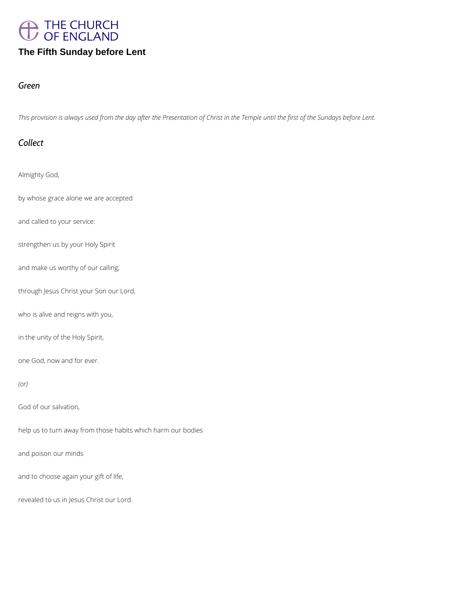

# **The Fifth Sunday before Lent**

#### *Green*

*This provision is always used from the day after the Presentation of Christ in the Temple until the first of the Sundays before Lent.*

#### *Collect*

Almighty God,

by whose grace alone we are accepted

and called to your service:

strengthen us by your Holy Spirit

and make us worthy of our calling;

through Jesus Christ your Son our Lord,

who is alive and reigns with you,

in the unity of the Holy Spirit,

one God, now and for ever.

*(or)*

God of our salvation,

and poison our minds

and to choose again your gift of life,

revealed to us in Jesus Christ our Lord.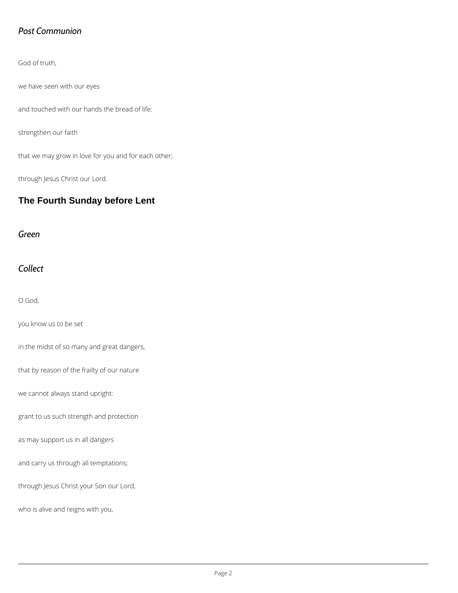# *Post Communion*

God of truth,

we have seen with our eyes

and touched with our hands the bread of life:

strengthen our faith

that we may grow in love for you and for each other;

through Jesus Christ our Lord.

# **The Fourth Sunday before Lent**

*Green*

*Collect*

O God,

you know us to be set

in the midst of so many and great dangers,

that by reason of the frailty of our nature

we cannot always stand upright:

grant to us such strength and protection

as may support us in all dangers

and carry us through all temptations;

through Jesus Christ your Son our Lord,

who is alive and reigns with you,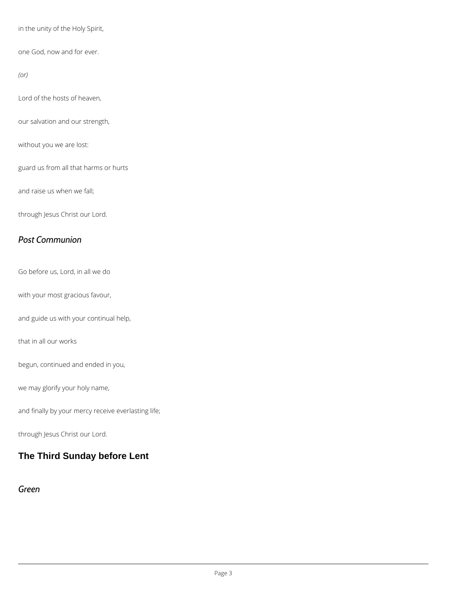in the unity of the Holy Spirit,

one God, now and for ever.

*(or)*

Lord of the hosts of heaven,

our salvation and our strength,

without you we are lost:

guard us from all that harms or hurts

and raise us when we fall;

through Jesus Christ our Lord.

#### *Post Communion*

Go before us, Lord, in all we do

with your most gracious favour,

and guide us with your continual help,

that in all our works

begun, continued and ended in you,

we may glorify your holy name,

and finally by your mercy receive everlasting life;

through Jesus Christ our Lord.

#### **The Third Sunday before Lent**

*Green*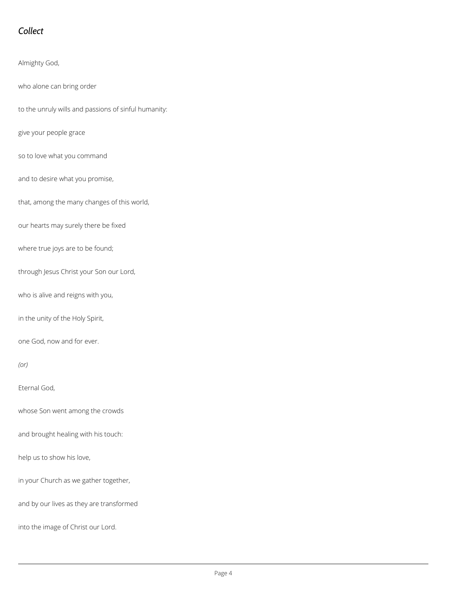# *Collect*

Almighty God,

who alone can bring order

to the unruly wills and passions of sinful humanity:

give your people grace

so to love what you command

and to desire what you promise,

that, among the many changes of this world,

our hearts may surely there be fixed

where true joys are to be found;

through Jesus Christ your Son our Lord,

who is alive and reigns with you,

in the unity of the Holy Spirit,

one God, now and for ever.

*(or)*

Eternal God,

whose Son went among the crowds

and brought healing with his touch:

help us to show his love,

in your Church as we gather together,

and by our lives as they are transformed

into the image of Christ our Lord.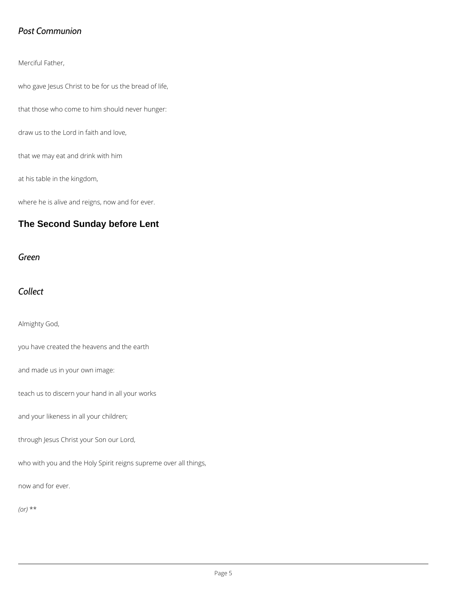#### *Post Communion*

Merciful Father,

who gave Jesus Christ to be for us the bread of life,

that those who come to him should never hunger:

draw us to the Lord in faith and love,

that we may eat and drink with him

at his table in the kingdom,

where he is alive and reigns, now and for ever.

# **The Second Sunday before Lent**

*Green*

# *Collect*

Almighty God,

you have created the heavens and the earth

and made us in your own image:

teach us to discern your hand in all your works

and your likeness in all your children;

through Jesus Christ your Son our Lord,

who with you and the Holy Spirit reigns supreme over all things,

now and for ever.

*(or)* \*\*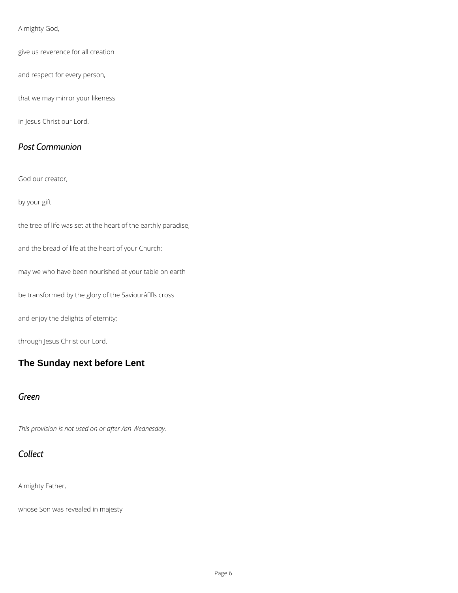#### Almighty God,

give us reverence for all creation

and respect for every person,

that we may mirror your likeness

in Jesus Christ our Lord.

#### *Post Communion*

God our creator,

by your gift

the tree of life was set at the heart of the earthly paradise,

and the bread of life at the heart of your Church:

may we who have been nourished at your table on earth

be transformed by the glory of the Saviourâllas cross

and enjoy the delights of eternity;

through Jesus Christ our Lord.

# **The Sunday next before Lent**

#### *Green*

*This provision is not used on or after Ash Wednesday.*



Almighty Father,

whose Son was revealed in majesty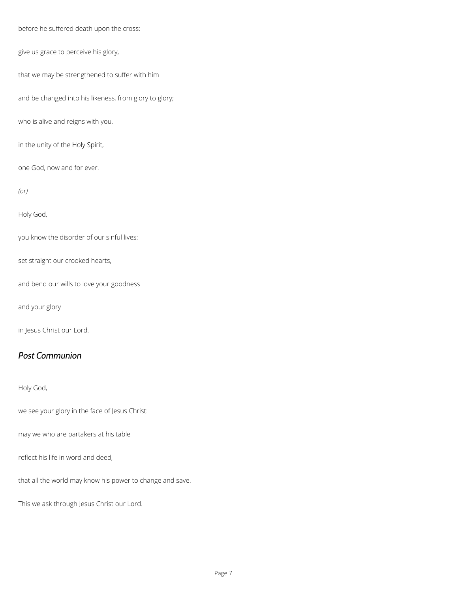before he suffered death upon the cross:

give us grace to perceive his glory,

that we may be strengthened to suffer with him

and be changed into his likeness, from glory to glory;

who is alive and reigns with you,

in the unity of the Holy Spirit,

one God, now and for ever.

*(or)*

Holy God,

you know the disorder of our sinful lives:

set straight our crooked hearts,

and bend our wills to love your goodness

and your glory

in Jesus Christ our Lord.

#### *Post Communion*

Holy God,

we see your glory in the face of Jesus Christ:

may we who are partakers at his table

reflect his life in word and deed,

that all the world may know his power to change and save.

This we ask through Jesus Christ our Lord.